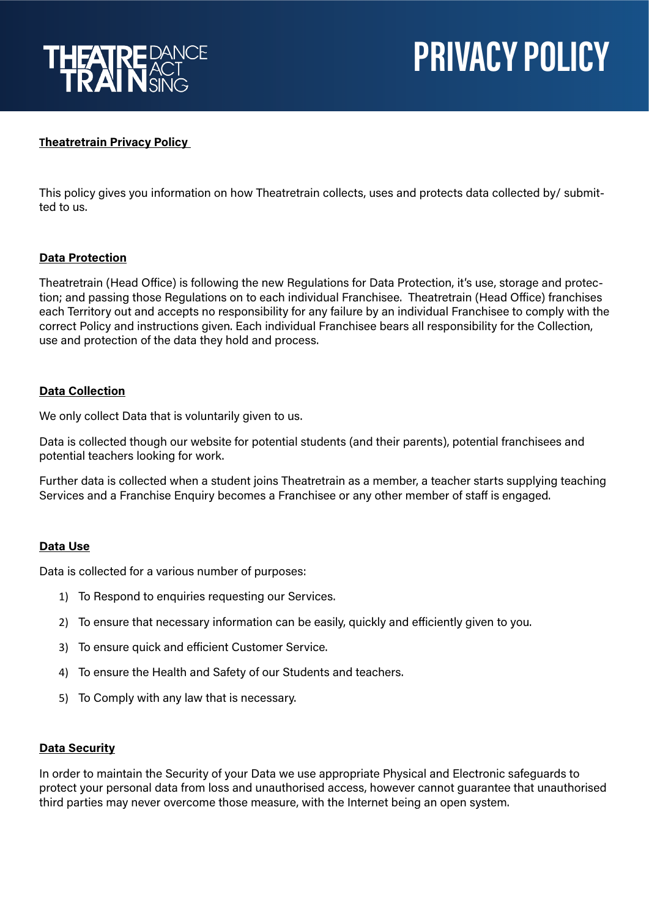

# **PRIVACY POLICY**

## **Theatretrain Privacy Policy**

This policy gives you information on how Theatretrain collects, uses and protects data collected by/ submitted to us.

## **Data Protection**

Theatretrain (Head Office) is following the new Regulations for Data Protection, it's use, storage and protection; and passing those Regulations on to each individual Franchisee. Theatretrain (Head Office) franchises each Territory out and accepts no responsibility for any failure by an individual Franchisee to comply with the correct Policy and instructions given. Each individual Franchisee bears all responsibility for the Collection, use and protection of the data they hold and process.

## **Data Collection**

We only collect Data that is voluntarily given to us.

Data is collected though our website for potential students (and their parents), potential franchisees and potential teachers looking for work.

Further data is collected when a student joins Theatretrain as a member, a teacher starts supplying teaching Services and a Franchise Enquiry becomes a Franchisee or any other member of staff is engaged.

## **Data Use**

Data is collected for a various number of purposes:

- 1) To Respond to enquiries requesting our Services.
- 2) To ensure that necessary information can be easily, quickly and efficiently given to you.
- 3) To ensure quick and efficient Customer Service.
- 4) To ensure the Health and Safety of our Students and teachers.
- 5) To Comply with any law that is necessary.

## **Data Security**

In order to maintain the Security of your Data we use appropriate Physical and Electronic safeguards to protect your personal data from loss and unauthorised access, however cannot guarantee that unauthorised third parties may never overcome those measure, with the Internet being an open system.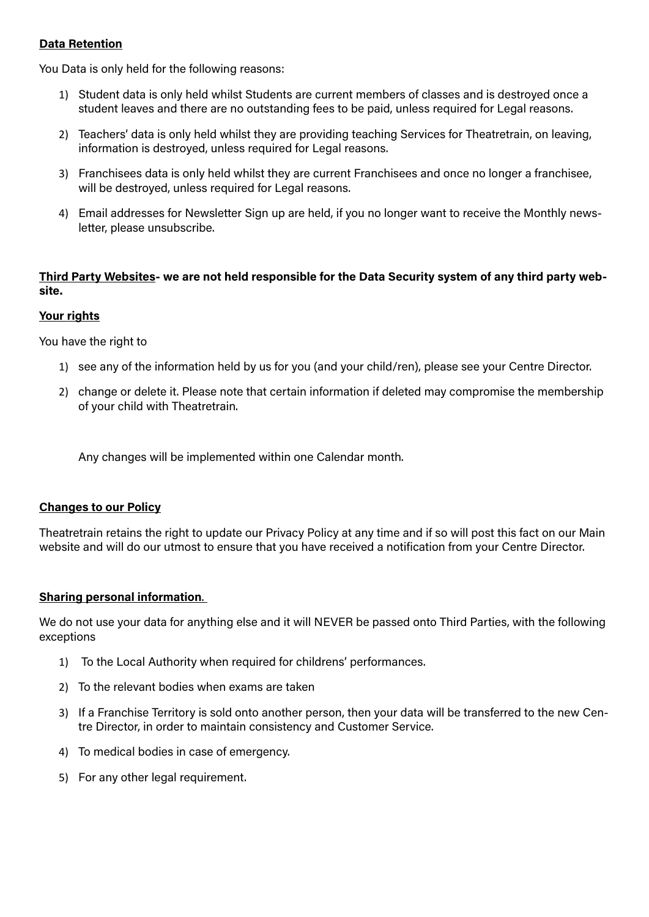## **Data Retention**

You Data is only held for the following reasons:

- 1) Student data is only held whilst Students are current members of classes and is destroyed once a student leaves and there are no outstanding fees to be paid, unless required for Legal reasons.
- 2) Teachers' data is only held whilst they are providing teaching Services for Theatretrain, on leaving, information is destroyed, unless required for Legal reasons.
- 3) Franchisees data is only held whilst they are current Franchisees and once no longer a franchisee, will be destroyed, unless required for Legal reasons.
- 4) Email addresses for Newsletter Sign up are held, if you no longer want to receive the Monthly newsletter, please unsubscribe.

# **Third Party Websites- we are not held responsible for the Data Security system of any third party website.**

## **Your rights**

You have the right to

- 1) see any of the information held by us for you (and your child/ren), please see your Centre Director.
- 2) change or delete it. Please note that certain information if deleted may compromise the membership of your child with Theatretrain.

Any changes will be implemented within one Calendar month.

## **Changes to our Policy**

Theatretrain retains the right to update our Privacy Policy at any time and if so will post this fact on our Main website and will do our utmost to ensure that you have received a notification from your Centre Director.

## **Sharing personal information**.

We do not use your data for anything else and it will NEVER be passed onto Third Parties, with the following exceptions

- 1) To the Local Authority when required for childrens' performances.
- 2) To the relevant bodies when exams are taken
- 3) If a Franchise Territory is sold onto another person, then your data will be transferred to the new Centre Director, in order to maintain consistency and Customer Service.
- 4) To medical bodies in case of emergency.
- 5) For any other legal requirement.